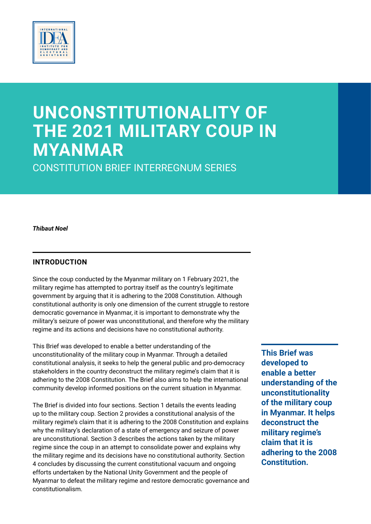

# **UNCONSTITUTIONALITY OF THE 2021 MILITARY COUP IN MYANMAR**

CONSTITUTION BRIEF INTERREGNUM SERIES

#### *Thibaut Noel*

## **INTRODUCTION**

Since the coup conducted by the Myanmar military on 1 February 2021, the military regime has attempted to portray itself as the country's legitimate government by arguing that it is adhering to the 2008 Constitution. Although constitutional authority is only one dimension of the current struggle to restore democratic governance in Myanmar, it is important to demonstrate why the military's seizure of power was unconstitutional, and therefore why the military regime and its actions and decisions have no constitutional authority.

This Brief was developed to enable a better understanding of the unconstitutionality of the military coup in Myanmar. Through a detailed constitutional analysis, it seeks to help the general public and pro-democracy stakeholders in the country deconstruct the military regime's claim that it is adhering to the 2008 Constitution. The Brief also aims to help the international community develop informed positions on the current situation in Myanmar.

The Brief is divided into four sections. Section 1 details the events leading up to the military coup. Section 2 provides a constitutional analysis of the military regime's claim that it is adhering to the 2008 Constitution and explains why the military's declaration of a state of emergency and seizure of power are unconstitutional. Section 3 describes the actions taken by the military regime since the coup in an attempt to consolidate power and explains why the military regime and its decisions have no constitutional authority. Section 4 concludes by discussing the current constitutional vacuum and ongoing efforts undertaken by the National Unity Government and the people of Myanmar to defeat the military regime and restore democratic governance and constitutionalism.

**This Brief was developed to enable a better understanding of the unconstitutionality of the military coup in Myanmar. It helps deconstruct the military regime's claim that it is adhering to the 2008 Constitution.**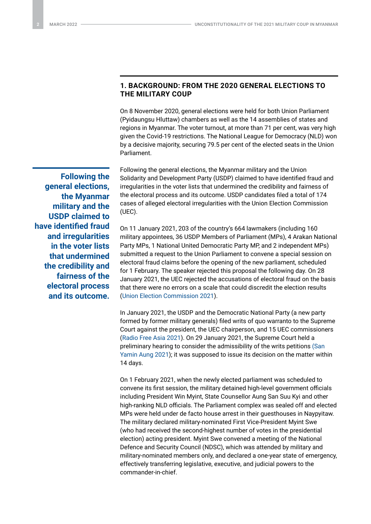## **1. BACKGROUND: FROM THE 2020 GENERAL ELECTIONS TO THE MILITARY COUP**

On 8 November 2020, general elections were held for both Union Parliament (Pyidaungsu Hluttaw) chambers as well as the 14 assemblies of states and regions in Myanmar. The voter turnout, at more than 71 per cent, was very high given the Covid-19 restrictions. The National League for Democracy (NLD) won by a decisive majority, securing 79.5 per cent of the elected seats in the Union Parliament.

**Following the general elections, the Myanmar military and the USDP claimed to have identified fraud and irregularities in the voter lists that undermined the credibility and fairness of the electoral process and its outcome.** Following the general elections, the Myanmar military and the Union Solidarity and Development Party (USDP) claimed to have identified fraud and irregularities in the voter lists that undermined the credibility and fairness of the electoral process and its outcome. USDP candidates filed a total of 174 cases of alleged electoral irregularities with the Union Election Commission (UEC).

On 11 January 2021, 203 of the country's 664 lawmakers (including 160 military appointees, 36 USDP Members of Parliament (MPs), 4 Arakan National Party MPs, 1 National United Democratic Party MP, and 2 independent MPs) submitted a request to the Union Parliament to convene a special session on electoral fraud claims before the opening of the new parliament, scheduled for 1 February. The speaker rejected this proposal the following day. On 28 January 2021, the UEC rejected the accusations of electoral fraud on the basis that there were no errors on a scale that could discredit the election results [\(Union Election Commission 2021](https://www.burmalibrary.org/sites/burmalibrary.org/files/obl/GNLM2021-01-29-red.pdf)).

In January 2021, the USDP and the Democratic National Party (a new party formed by former military generals) filed writs of quo warranto to the Supreme Court against the president, the UEC chairperson, and 15 UEC commissioners [\(Radio Free Asia 2021](https://www.rfa.org/english/news/myanmar/supreme-court-01052021193026.html)). On 29 January 2021, the Supreme Court held a preliminary hearing to consider the admissibility of the writs petitions [\(San](https://www.irrawaddy.com/elections/myanmars-supreme-court-hears-election-misconduct-claims-president-suu-kyi.html)  [Yamin Aung 2021](https://www.irrawaddy.com/elections/myanmars-supreme-court-hears-election-misconduct-claims-president-suu-kyi.html)); it was supposed to issue its decision on the matter within 14 days.

On 1 February 2021, when the newly elected parliament was scheduled to convene its first session, the military detained high-level government officials including President Win Myint, State Counsellor Aung San Suu Kyi and other high-ranking NLD officials. The Parliament complex was sealed off and elected MPs were held under de facto house arrest in their guesthouses in Naypyitaw. The military declared military-nominated First Vice-President Myint Swe (who had received the second-highest number of votes in the presidential election) acting president. Myint Swe convened a meeting of the National Defence and Security Council (NDSC), which was attended by military and military-nominated members only, and declared a one-year state of emergency, effectively transferring legislative, executive, and judicial powers to the commander-in-chief.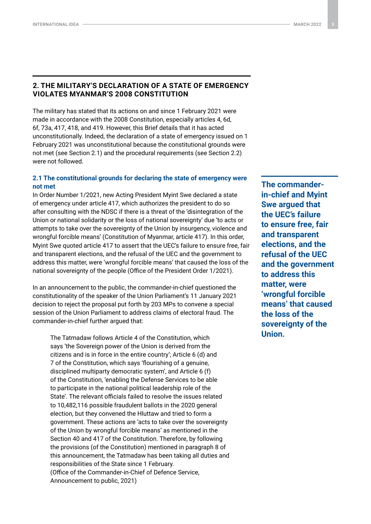## **2. THE MILITARY'S DECLARATION OF A STATE OF EMERGENCY VIOLATES MYANMAR'S 2008 CONSTITUTION**

The military has stated that its actions on and since 1 February 2021 were made in accordance with the 2008 Constitution, especially articles 4, 6d, 6f, 73a, 417, 418, and 419. However, this Brief details that it has acted unconstitutionally. Indeed, the declaration of a state of emergency issued on 1 February 2021 was unconstitutional because the constitutional grounds were not met (see Section 2.1) and the procedural requirements (see Section 2.2) were not followed.

#### **2.1 The constitutional grounds for declaring the state of emergency were not met**

In Order Number 1/2021, new Acting President Myint Swe declared a state of emergency under article 417, which authorizes the president to do so after consulting with the NDSC if there is a threat of the 'disintegration of the Union or national solidarity or the loss of national sovereignty' due 'to acts or attempts to take over the sovereignty of the Union by insurgency, violence and wrongful forcible means' (Constitution of Myanmar, article 417). In this order, Myint Swe quoted article 417 to assert that the UEC's failure to ensure free, fair and transparent elections, and the refusal of the UEC and the government to address this matter, were 'wrongful forcible means' that caused the loss of the national sovereignty of the people (Office of the President Order 1/2021).

In an announcement to the public, the commander-in-chief questioned the constitutionality of the speaker of the Union Parliament's 11 January 2021 decision to reject the proposal put forth by 203 MPs to convene a special session of the Union Parliament to address claims of electoral fraud. The commander-in-chief further argued that:

The Tatmadaw follows Article 4 of the Constitution, which says 'the Sovereign power of the Union is derived from the citizens and is in force in the entire country'; Article 6 (d) and 7 of the Constitution, which says 'flourishing of a genuine, disciplined multiparty democratic system', and Article 6 (f) of the Constitution, 'enabling the Defense Services to be able to participate in the national political leadership role of the State'. The relevant officials failed to resolve the issues related to 10,482,116 possible fraudulent ballots in the 2020 general election, but they convened the Hluttaw and tried to form a government. These actions are 'acts to take over the sovereignty of the Union by wrongful forcible means' as mentioned in the Section 40 and 417 of the Constitution. Therefore, by following the provisions (of the Constitution) mentioned in paragraph 8 of this announcement, the Tatmadaw has been taking all duties and responsibilities of the State since 1 February. (Office of the Commander-in-Chief of Defence Service, Announcement to public, 2021)

**The commanderin-chief and Myint Swe argued that the UEC's failure to ensure free, fair and transparent elections, and the refusal of the UEC and the government to address this matter, were 'wrongful forcible means' that caused the loss of the sovereignty of the Union.**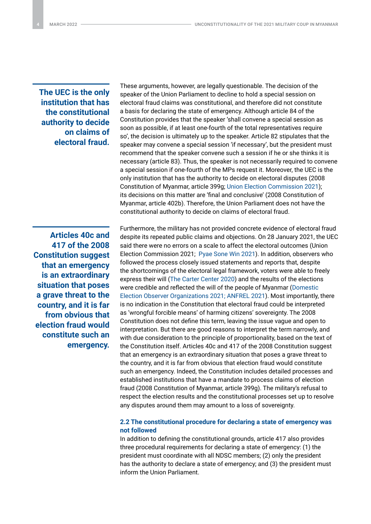## **The UEC is the only institution that has the constitutional authority to decide on claims of electoral fraud.**

**Articles 40c and 417 of the 2008 Constitution suggest that an emergency is an extraordinary situation that poses a grave threat to the country, and it is far from obvious that election fraud would constitute such an emergency.**  These arguments, however, are legally questionable. The decision of the speaker of the Union Parliament to decline to hold a special session on electoral fraud claims was constitutional, and therefore did not constitute a basis for declaring the state of emergency. Although article 84 of the Constitution provides that the speaker 'shall convene a special session as soon as possible, if at least one-fourth of the total representatives require so', the decision is ultimately up to the speaker. Article 82 stipulates that the speaker may convene a special session 'if necessary', but the president must recommend that the speaker convene such a session if he or she thinks it is necessary (article 83). Thus, the speaker is not necessarily required to convene a special session if one-fourth of the MPs request it. Moreover, the UEC is the only institution that has the authority to decide on electoral disputes (2008 Constitution of Myanmar, article 399g; [Union Election Commission 2021](https://www.burmalibrary.org/sites/burmalibrary.org/files/obl/GNLM2021-01-29-red.pdf)); its decisions on this matter are 'final and conclusive' (2008 Constitution of Myanmar, article 402b). Therefore, the Union Parliament does not have the constitutional authority to decide on claims of electoral fraud.

Furthermore, the military has not provided concrete evidence of electoral fraud despite its repeated public claims and objections. On 28 January 2021, the UEC said there were no errors on a scale to affect the electoral outcomes (Union Election Commission 2021; [Pyae Sone Win 2021\)](https://apnews.com/article/aung-san-suu-kyi-elections-myanmar-cc1b225b806c27dda748d3ab51d0e47f). In addition, observers who followed the process closely issued statements and reports that, despite the shortcomings of the electoral legal framework, voters were able to freely express their will [\(The Carter Center 2020\)](https://www.cartercenter.org/resources/pdfs/news/peace_publications/election_reports/myanmar-preliminary-statement-112020.pdf) and the results of the elections were credible and reflected the will of the people of Myanmar ([Domestic](https://drive.google.com/file/d/1eLc0m-nFWorVCbucKBa8E9E2IsZo4_uW/preview)  [Election Observer Organizations 2021;](https://drive.google.com/file/d/1eLc0m-nFWorVCbucKBa8E9E2IsZo4_uW/preview) [ANFREL 2021\)](https://anfrel.org/wp-content/uploads/2021/05/ANFREL_Democracy-Under-Attack-F.pdf). Most importantly, there is no indication in the Constitution that electoral fraud could be interpreted as 'wrongful forcible means' of harming citizens' sovereignty. The 2008 Constitution does not define this term, leaving the issue vague and open to interpretation. But there are good reasons to interpret the term narrowly, and with due consideration to the principle of proportionality, based on the text of the Constitution itself. Articles 40c and 417 of the 2008 Constitution suggest that an emergency is an extraordinary situation that poses a grave threat to the country, and it is far from obvious that election fraud would constitute such an emergency. Indeed, the Constitution includes detailed processes and established institutions that have a mandate to process claims of election fraud (2008 Constitution of Myanmar, article 399g). The military's refusal to respect the election results and the constitutional processes set up to resolve any disputes around them may amount to a loss of sovereignty.

#### **2.2 The constitutional procedure for declaring a state of emergency was not followed**

In addition to defining the constitutional grounds, article 417 also provides three procedural requirements for declaring a state of emergency: (1) the president must coordinate with all NDSC members; (2) only the president has the authority to declare a state of emergency; and (3) the president must inform the Union Parliament.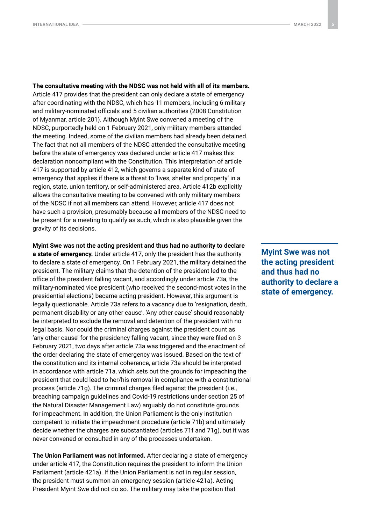**The consultative meeting with the NDSC was not held with all of its members.** Article 417 provides that the president can only declare a state of emergency after coordinating with the NDSC, which has 11 members, including 6 military and military-nominated officials and 5 civilian authorities (2008 Constitution of Myanmar, article 201). Although Myint Swe convened a meeting of the NDSC, purportedly held on 1 February 2021, only military members attended the meeting. Indeed, some of the civilian members had already been detained. The fact that not all members of the NDSC attended the consultative meeting before the state of emergency was declared under article 417 makes this declaration noncompliant with the Constitution. This interpretation of article 417 is supported by article 412, which governs a separate kind of state of emergency that applies if there is a threat to 'lives, shelter and property' in a region, state, union territory, or self-administered area. Article 412b explicitly allows the consultative meeting to be convened with only military members of the NDSC if not all members can attend. However, article 417 does not have such a provision, presumably because all members of the NDSC need to be present for a meeting to qualify as such, which is also plausible given the gravity of its decisions.

**Myint Swe was not the acting president and thus had no authority to declare a state of emergency.** Under article 417, only the president has the authority to declare a state of emergency. On 1 February 2021, the military detained the president. The military claims that the detention of the president led to the office of the president falling vacant, and accordingly under article 73a, the military-nominated vice president (who received the second-most votes in the presidential elections) became acting president. However, this argument is legally questionable. Article 73a refers to a vacancy due to 'resignation, death, permanent disability or any other cause'. 'Any other cause' should reasonably be interpreted to exclude the removal and detention of the president with no legal basis. Nor could the criminal charges against the president count as 'any other cause' for the presidency falling vacant, since they were filed on 3 February 2021, two days after article 73a was triggered and the enactment of the order declaring the state of emergency was issued. Based on the text of the constitution and its internal coherence, article 73a should be interpreted in accordance with article 71a, which sets out the grounds for impeaching the president that could lead to her/his removal in compliance with a constitutional process (article 71g). The criminal charges filed against the president (i.e., breaching campaign guidelines and Covid-19 restrictions under section 25 of the Natural Disaster Management Law) arguably do not constitute grounds for impeachment. In addition, the Union Parliament is the only institution competent to initiate the impeachment procedure (article 71b) and ultimately decide whether the charges are substantiated (articles 71f and 71g), but it was never convened or consulted in any of the processes undertaken.

**The Union Parliament was not informed.** After declaring a state of emergency under article 417, the Constitution requires the president to inform the Union Parliament (article 421a). If the Union Parliament is not in regular session, the president must summon an emergency session (article 421a). Acting President Myint Swe did not do so. The military may take the position that

**Myint Swe was not the acting president and thus had no authority to declare a state of emergency.**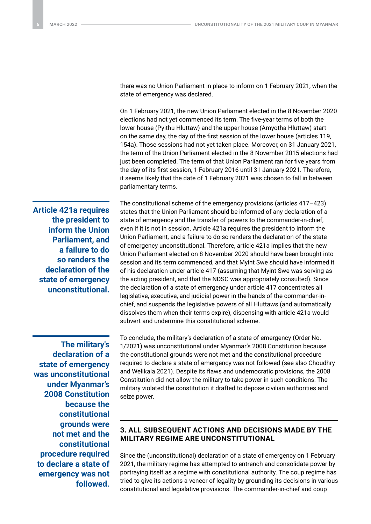there was no Union Parliament in place to inform on 1 February 2021, when the state of emergency was declared.

On 1 February 2021, the new Union Parliament elected in the 8 November 2020 elections had not yet commenced its term. The five-year terms of both the lower house (Pyithu Hluttaw) and the upper house (Amyotha Hluttaw) start on the same day, the day of the first session of the lower house (articles 119, 154a). Those sessions had not yet taken place. Moreover, on 31 January 2021, the term of the Union Parliament elected in the 8 November 2015 elections had just been completed. The term of that Union Parliament ran for five years from the day of its first session, 1 February 2016 until 31 January 2021. Therefore, it seems likely that the date of 1 February 2021 was chosen to fall in between parliamentary terms.

**Article 421a requires the president to inform the Union Parliament, and a failure to do so renders the declaration of the state of emergency unconstitutional.**

**The military's declaration of a state of emergency was unconstitutional under Myanmar's 2008 Constitution because the constitutional grounds were not met and the constitutional procedure required to declare a state of emergency was not followed.**

The constitutional scheme of the emergency provisions (articles 417–423) states that the Union Parliament should be informed of any declaration of a state of emergency and the transfer of powers to the commander-in-chief, even if it is not in session. Article 421a requires the president to inform the Union Parliament, and a failure to do so renders the declaration of the state of emergency unconstitutional. Therefore, article 421a implies that the new Union Parliament elected on 8 November 2020 should have been brought into session and its term commenced, and that Myint Swe should have informed it of his declaration under article 417 (assuming that Myint Swe was serving as the acting president, and that the NDSC was appropriately consulted). Since the declaration of a state of emergency under article 417 concentrates all legislative, executive, and judicial power in the hands of the commander-inchief, and suspends the legislative powers of all Hluttaws (and automatically dissolves them when their terms expire), dispensing with article 421a would subvert and undermine this constitutional scheme.

To conclude, the military's declaration of a state of emergency (Order No. 1/2021) was unconstitutional under Myanmar's 2008 Constitution because the constitutional grounds were not met and the constitutional procedure required to declare a state of emergency was not followed (see also Choudhry and Welikala 2021). Despite its flaws and undemocratic provisions, the 2008 Constitution did not allow the military to take power in such conditions. The military violated the constitution it drafted to depose civilian authorities and seize power.

## **3. ALL SUBSEQUENT ACTIONS AND DECISIONS MADE BY THE MILITARY REGIME ARE UNCONSTITUTIONAL**

Since the (unconstitutional) declaration of a state of emergency on 1 February 2021, the military regime has attempted to entrench and consolidate power by portraying itself as a regime with constitutional authority. The coup regime has tried to give its actions a veneer of legality by grounding its decisions in various constitutional and legislative provisions. The commander-in-chief and coup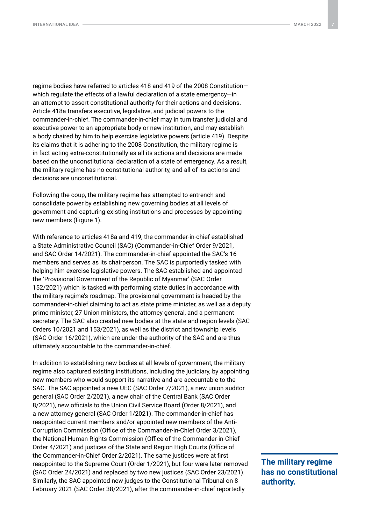regime bodies have referred to articles 418 and 419 of the 2008 Constitution which regulate the effects of a lawful declaration of a state emergency—in an attempt to assert constitutional authority for their actions and decisions. Article 418a transfers executive, legislative, and judicial powers to the commander-in-chief. The commander-in-chief may in turn transfer judicial and executive power to an appropriate body or new institution, and may establish a body chaired by him to help exercise legislative powers (article 419). Despite its claims that it is adhering to the 2008 Constitution, the military regime is in fact acting extra-constitutionally as all its actions and decisions are made based on the unconstitutional declaration of a state of emergency. As a result, the military regime has no constitutional authority, and all of its actions and decisions are unconstitutional.

Following the coup, the military regime has attempted to entrench and consolidate power by establishing new governing bodies at all levels of government and capturing existing institutions and processes by appointing new members (Figure 1).

With reference to articles 418a and 419, the commander-in-chief established a State Administrative Council (SAC) (Commander-in-Chief Order 9/2021, and SAC Order 14/2021). The commander-in-chief appointed the SAC's 16 members and serves as its chairperson. The SAC is purportedly tasked with helping him exercise legislative powers. The SAC established and appointed the 'Provisional Government of the Republic of Myanmar' (SAC Order 152/2021) which is tasked with performing state duties in accordance with the military regime's roadmap. The provisional government is headed by the commander-in-chief claiming to act as state prime minister, as well as a deputy prime minister, 27 Union ministers, the attorney general, and a permanent secretary. The SAC also created new bodies at the state and region levels (SAC Orders 10/2021 and 153/2021), as well as the district and township levels (SAC Order 16/2021), which are under the authority of the SAC and are thus ultimately accountable to the commander-in-chief.

In addition to establishing new bodies at all levels of government, the military regime also captured existing institutions, including the judiciary, by appointing new members who would support its narrative and are accountable to the SAC. The SAC appointed a new UEC (SAC Order 7/2021), a new union auditor general (SAC Order 2/2021), a new chair of the Central Bank (SAC Order 8/2021), new officials to the Union Civil Service Board (Order 8/2021), and a new attorney general (SAC Order 1/2021). The commander-in-chief has reappointed current members and/or appointed new members of the Anti-Corruption Commission (Office of the Commander-in-Chief Order 3/2021), the National Human Rights Commission (Office of the Commander-in-Chief Order 4/2021) and justices of the State and Region High Courts (Office of the Commander-in-Chief Order 2/2021). The same justices were at first reappointed to the Supreme Court (Order 1/2021), but four were later removed (SAC Order 24/2021) and replaced by two new justices (SAC Order 23/2021). Similarly, the SAC appointed new judges to the Constitutional Tribunal on 8 February 2021 (SAC Order 38/2021), after the commander-in-chief reportedly

**The military regime has no constitutional authority.**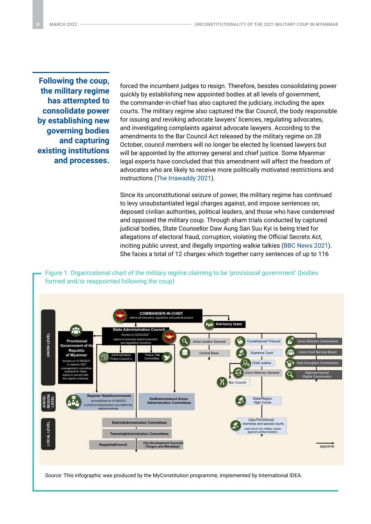**Following the coup, the military regime has attempted to consolidate power by establishing new governing bodies and capturing existing institutions and processes.**

forced the incumbent judges to resign. Therefore, besides consolidating power quickly by establishing new appointed bodies at all levels of government, the commander-in-chief has also captured the judiciary, including the apex courts. The military regime also captured the Bar Council, the body responsible for issuing and revoking advocate lawyers' licences, regulating advocates, and investigating complaints against advocate lawyers. According to the amendments to the Bar Council Act released by the military regime on 28 October, council members will no longer be elected by licensed lawyers but will be appointed by the attorney general and chief justice. Some Myanmar legal experts have concluded that this amendment will affect the freedom of advocates who are likely to receive more politically motivated restrictions and instructions [\(The Irrawaddy 2021](https://www.irrawaddy.com/news/burma/myanmar-junta-places-lawyers-back-under-control-of-military-regime.html#:~:text=Myanmar%E2%80%99s%20military%20regime%20has%20amended%20the%20Bar%20Council,enabling%20the%20regime%20to%20appoint%20the%20legal%20body.)).

Since its unconstitutional seizure of power, the military regime has continued to levy unsubstantiated legal charges against, and impose sentences on, deposed civilian authorities, political leaders, and those who have condemned and opposed the military coup. Through sham trials conducted by captured judicial bodies, State Counsellor Daw Aung San Suu Kyi is being tried for allegations of electoral fraud, corruption, violating the Official Secrets Act, inciting public unrest, and illegally importing walkie talkies [\(BBC News 2021\)](https://www.bbc.com/news/world-asia-57449884). She faces a total of 12 charges which together carry sentences of up to 116



Figure 1. Organizational chart of the military regime claiming to be 'provisional government' (bodies

*Source:* This infographic was produced by the MyConstitution programme, implemented by International IDEA.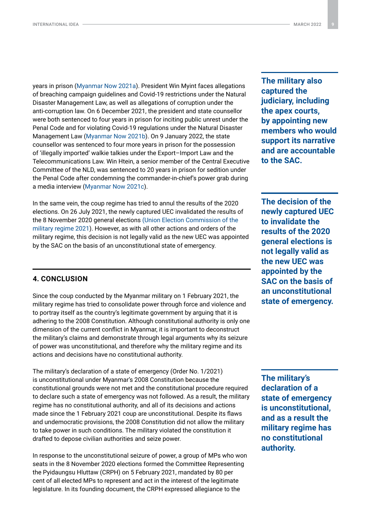years in prison ([Myanmar Now 2021a](https://myanmar-now.org/en/news/suu-kyi-hit-with-new-corruption-charge)). President Win Myint faces allegations of breaching campaign guidelines and Covid-19 restrictions under the Natural Disaster Management Law, as well as allegations of corruption under the anti-corruption law. On 6 December 2021, the president and state counsellor were both sentenced to four years in prison for inciting public unrest under the Penal Code and for violating Covid-19 regulations under the Natural Disaster Management Law [\(Myanmar Now 2021b](https://myanmar-now.org/en/news/junta-sentences-suu-kyi-win-myint-to-four-years-in-prison-each)). On 9 January 2022, the state counsellor was sentenced to four more years in prison for the possession of 'illegally imported' walkie talkies under the Export–Import Law and the Telecommunications Law. Win Htein, a senior member of the Central Executive Committee of the NLD, was sentenced to 20 years in prison for sedition under the Penal Code after condemning the commander-in-chief's power grab during a media interview [\(Myanmar Now 2021](https://www.myanmar-now.org/en/news/nld-party-stalwart-win-htein-sentenced-to-20-years-in-prison-for-sedition)c).

In the same vein, the coup regime has tried to annul the results of the 2020 elections. On 26 July 2021, the newly captured UEC invalidated the results of the 8 November 2020 general elections ([Union Election Commission of the](https://uec.gov.mm/news_preview_detail.php?action=news_detail1&news_id=zr2hN2ZEo9aO04yiu%2B6fLq%2F0GNg81lY3KWuWZ9GBCvs%3D)  [military regime 2021](https://uec.gov.mm/news_preview_detail.php?action=news_detail1&news_id=zr2hN2ZEo9aO04yiu%2B6fLq%2F0GNg81lY3KWuWZ9GBCvs%3D)). However, as with all other actions and orders of the military regime, this decision is not legally valid as the new UEC was appointed by the SAC on the basis of an unconstitutional state of emergency.

#### **4. CONCLUSION**

Since the coup conducted by the Myanmar military on 1 February 2021, the military regime has tried to consolidate power through force and violence and to portray itself as the country's legitimate government by arguing that it is adhering to the 2008 Constitution. Although constitutional authority is only one dimension of the current conflict in Myanmar, it is important to deconstruct the military's claims and demonstrate through legal arguments why its seizure of power was unconstitutional, and therefore why the military regime and its actions and decisions have no constitutional authority.

The military's declaration of a state of emergency (Order No. 1/2021) is unconstitutional under Myanmar's 2008 Constitution because the constitutional grounds were not met and the constitutional procedure required to declare such a state of emergency was not followed. As a result, the military regime has no constitutional authority, and all of its decisions and actions made since the 1 February 2021 coup are unconstitutional. Despite its flaws and undemocratic provisions, the 2008 Constitution did not allow the military to take power in such conditions. The military violated the constitution it drafted to depose civilian authorities and seize power.

In response to the unconstitutional seizure of power, a group of MPs who won seats in the 8 November 2020 elections formed the Committee Representing the Pyidaungsu Hluttaw (CRPH) on 5 February 2021, mandated by 80 per cent of all elected MPs to represent and act in the interest of the legitimate legislature. In its founding document, the CRPH expressed allegiance to the

**The military also captured the judiciary, including the apex courts, by appointing new members who would support its narrative and are accountable to the SAC.**

**The decision of the newly captured UEC to invalidate the results of the 2020 general elections is not legally valid as the new UEC was appointed by the SAC on the basis of an unconstitutional state of emergency.**

**The military's declaration of a state of emergency is unconstitutional, and as a result the military regime has no constitutional authority.**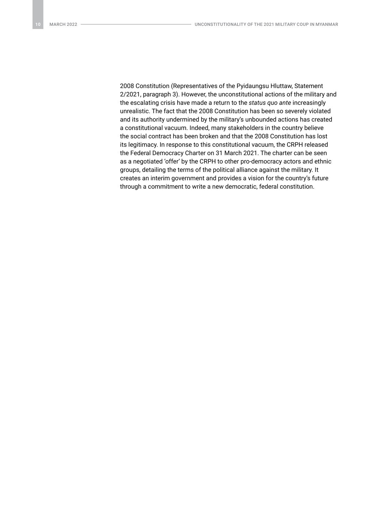2008 Constitution (Representatives of the Pyidaungsu Hluttaw, Statement 2/2021, paragraph 3). However, the unconstitutional actions of the military and the escalating crisis have made a return to the *status quo ante* increasingly unrealistic. The fact that the 2008 Constitution has been so severely violated and its authority undermined by the military's unbounded actions has created a constitutional vacuum. Indeed, many stakeholders in the country believe the social contract has been broken and that the 2008 Constitution has lost its legitimacy. In response to this constitutional vacuum, the CRPH released the Federal Democracy Charter on 31 March 2021. The charter can be seen as a negotiated 'offer' by the CRPH to other pro-democracy actors and ethnic groups, detailing the terms of the political alliance against the military. It creates an interim government and provides a vision for the country's future through a commitment to write a new democratic, federal constitution.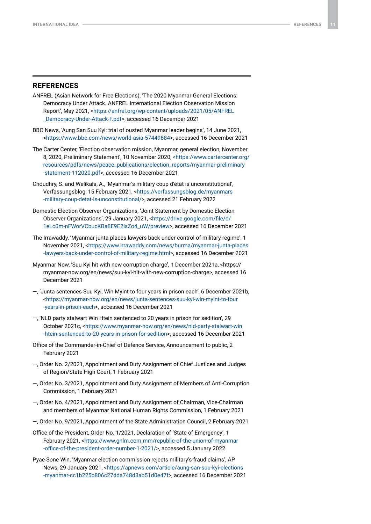#### **REFERENCES**

- ANFREL (Asian Network for Free Elections), 'The 2020 Myanmar General Elections: Democracy Under Attack. ANFREL International Election Observation Mission Report', May 2021, <[https://anfrel.org/wp-content/uploads/2021/05/ANFREL](https://anfrel.org/wp-content/uploads/2021/05/ANFREL_Democracy-Under-Attack-F.pdf) [\\_Democracy-Under-Attack-F.pdf](https://anfrel.org/wp-content/uploads/2021/05/ANFREL_Democracy-Under-Attack-F.pdf)>, accessed 16 December 2021
- BBC News, 'Aung San Suu Kyi: trial of ousted Myanmar leader begins', 14 June 2021, [<https://www.bbc.com/news/world-asia-57449884>](https://www.bbc.com/news/world-asia-57449884), accessed 16 December 2021
- The Carter Center, 'Election observation mission, Myanmar, general election, November 8, 2020, Preliminary Statement', 10 November 2020, [<https://www.cartercenter.org/](https://www.cartercenter.org/resources/pdfs/news/peace_publications/election_reports/myanmar-preliminary-statement-112020.pdf) [resources/pdfs/news/peace\\_publications/election\\_reports/myanmar-preliminary](https://www.cartercenter.org/resources/pdfs/news/peace_publications/election_reports/myanmar-preliminary-statement-112020.pdf) [-statement-112020.pdf](https://www.cartercenter.org/resources/pdfs/news/peace_publications/election_reports/myanmar-preliminary-statement-112020.pdf)>, accessed 16 December 2021
- Choudhry, S. and Welikala, A., 'Myanmar's military coup d'état is unconstitutional', Verfassungsblog, 15 February 2021, <[https://verfassungsblog.de/myanmars](https://verfassungsblog.de/myanmars-military-coup-detat-is-unconstitutional/) [-military-coup-detat-is-unconstitutional/](https://verfassungsblog.de/myanmars-military-coup-detat-is-unconstitutional/)>, accessed 21 February 2022
- Domestic Election Observer Organizations, 'Joint Statement by Domestic Election Observer Organizations', 29 January 2021, <[https://drive.google.com/file/d/](https://drive.google.com/file/d/1eLc0m-nFWorVCbucKBa8E9E2IsZo4_uW/preview) [1eLc0m-nFWorVCbucKBa8E9E2IsZo4\\_uW/preview](https://drive.google.com/file/d/1eLc0m-nFWorVCbucKBa8E9E2IsZo4_uW/preview)>, accessed 16 December 2021
- The Irrawaddy, 'Myanmar junta places lawyers back under control of military regime', 1 November 2021, <[https://www.irrawaddy.com/news/burma/myanmar-junta-places](https://www.irrawaddy.com/news/burma/myanmar-junta-places-lawyers-back-under-control-of-military-regime.html) [-lawyers-back-under-control-of-military-regime.html](https://www.irrawaddy.com/news/burma/myanmar-junta-places-lawyers-back-under-control-of-military-regime.html)>, accessed 16 December 2021
- Myanmar Now, 'Suu Kyi hit with new corruption charge', 1 December 2021a, <[https://](https://myanmar-now.org/en/news/suu-kyi-hit-with-new-corruption-charge) [myanmar-now.org/en/news/suu-kyi-hit-with-new-corruption-charge>](https://myanmar-now.org/en/news/suu-kyi-hit-with-new-corruption-charge), accessed 16 December 2021
- —, 'Junta sentences Suu Kyi, Win Myint to four years in prison each', 6 December 2021b, [<https://myanmar-now.org/en/news/junta-sentences-suu-kyi-win-myint-to-four](https://myanmar-now.org/en/news/junta-sentences-suu-kyi-win-myint-to-four-years-in-prison-each) [-years-in-prison-each](https://myanmar-now.org/en/news/junta-sentences-suu-kyi-win-myint-to-four-years-in-prison-each)>, accessed 16 December 2021
- —, 'NLD party stalwart Win Htein sentenced to 20 years in prison for sedition', 29 October 2021c, <[https://www.myanmar-now.org/en/news/nld-party-stalwart-win](https://www.myanmar-now.org/en/news/nld-party-stalwart-win-htein-sentenced-to-20-years-in-prison-for-sedition) [-htein-sentenced-to-20-years-in-prison-for-sedition](https://www.myanmar-now.org/en/news/nld-party-stalwart-win-htein-sentenced-to-20-years-in-prison-for-sedition)>, accessed 16 December 2021
- Office of the Commander-in-Chief of Defence Service, Announcement to public, 2 February 2021
- —, Order No. 2/2021, Appointment and Duty Assignment of Chief Justices and Judges of Region/State High Court, 1 February 2021
- —, Order No. 3/2021, Appointment and Duty Assignment of Members of Anti-Corruption Commission, 1 February 2021
- —, Order No. 4/2021, Appointment and Duty Assignment of Chairman, Vice-Chairman and members of Myanmar National Human Rights Commission, 1 February 2021
- —, Order No. 9/2021, Appointment of the State Administration Council, 2 February 2021
- Office of the President, Order No. 1/2021, Declaration of 'State of Emergency', 1 February 2021, [<https://www.gnlm.com.mm/republic-of-the-union-of-myanmar](https://www.gnlm.com.mm/republic-of-the-union-of-myanmar-office-of-the-president-order-number-1-2021/) [-office-of-the-president-order-number-1-2021/](https://www.gnlm.com.mm/republic-of-the-union-of-myanmar-office-of-the-president-order-number-1-2021/)>, accessed 5 January 2022
- Pyae Sone Win, 'Myanmar election commission rejects military's fraud claims', AP News, 29 January 2021, [<https://apnews.com/article/aung-san-suu-kyi-elections](https://apnews.com/article/aung-san-suu-kyi-elections-myanmar-cc1b225b806c27dda748d3ab51d0e47f) [-myanmar-cc1b225b806c27dda748d3ab51d0e47f](https://apnews.com/article/aung-san-suu-kyi-elections-myanmar-cc1b225b806c27dda748d3ab51d0e47f)>, accessed 16 December 2021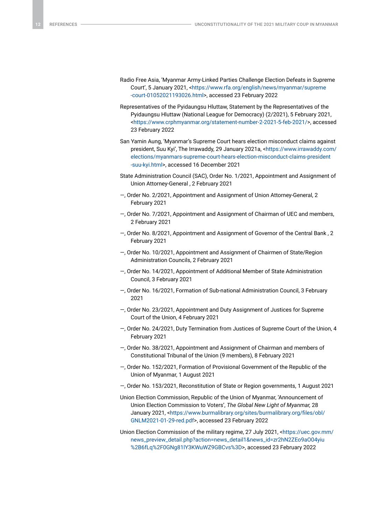- Radio Free Asia, 'Myanmar Army-Linked Parties Challenge Election Defeats in Supreme Court', 5 January 2021, [<https://www.rfa.org/english/news/myanmar/supreme](https://www.rfa.org/english/news/myanmar/supreme-court-01052021193026.html) [-court-01052021193026.html>](https://www.rfa.org/english/news/myanmar/supreme-court-01052021193026.html), accessed 23 February 2022
- Representatives of the Pyidaungsu Hluttaw, Statement by the Representatives of the Pyidaungsu Hluttaw (National League for Democracy) (2/2021), 5 February 2021, [<https://www.crphmyanmar.org/statement-number-2-2021-5-feb-2021/](https://www.crphmyanmar.org/statement-number-2-2021-5-feb-2021/)>, accessed 23 February 2022
- San Yamin Aung, 'Myanmar's Supreme Court hears election misconduct claims against president, Suu Kyi', The Irrawaddy, 29 January 2021a, <[https://www.irrawaddy.com/](https://www.irrawaddy.com/elections/myanmars-supreme-court-hears-election-misconduct-claims-president-suu-kyi.html) [elections/myanmars-supreme-court-hears-election-misconduct-claims-president](https://www.irrawaddy.com/elections/myanmars-supreme-court-hears-election-misconduct-claims-president-suu-kyi.html) [-suu-kyi.html>](https://www.irrawaddy.com/elections/myanmars-supreme-court-hears-election-misconduct-claims-president-suu-kyi.html), accessed 16 December 2021
- State Administration Council (SAC), Order No. 1/2021, Appointment and Assignment of Union Attorney-General , 2 February 2021
- —, Order No. 2/2021, Appointment and Assignment of Union Attorney-General, 2 February 2021
- —, Order No. 7/2021, Appointment and Assignment of Chairman of UEC and members, 2 February 2021
- —, Order No. 8/2021, Appointment and Assignment of Governor of the Central Bank , 2 February 2021
- —, Order No. 10/2021, Appointment and Assignment of Chairmen of State/Region Administration Councils, 2 February 2021
- —, Order No. 14/2021, Appointment of Additional Member of State Administration Council, 3 February 2021
- —, Order No. 16/2021, Formation of Sub-national Administration Council, 3 February 2021
- —, Order No. 23/2021, Appointment and Duty Assignment of Justices for Supreme Court of the Union, 4 February 2021
- —, Order No. 24/2021, Duty Termination from Justices of Supreme Court of the Union, 4 February 2021
- —, Order No. 38/2021, Appointment and Assignment of Chairman and members of Constitutional Tribunal of the Union (9 members), 8 February 2021
- —, Order No. 152/2021, Formation of Provisional Government of the Republic of the Union of Myanmar, 1 August 2021
- —, Order No. 153/2021, Reconstitution of State or Region governments, 1 August 2021
- Union Election Commission, Republic of the Union of Myanmar, 'Announcement of Union Election Commission to Voters', *The Global New Light of Myanmar,* 28 January 2021, <[https://www.burmalibrary.org/sites/burmalibrary.org/files/obl/](https://www.burmalibrary.org/sites/burmalibrary.org/files/obl/GNLM2021-01-29-red.pdf) [GNLM2021-01-29-red.pdf](https://www.burmalibrary.org/sites/burmalibrary.org/files/obl/GNLM2021-01-29-red.pdf)>, accessed 23 February 2022
- Union Election Commission of the military regime, 27 July 2021, <[https://uec.gov.mm/](https://uec.gov.mm/news_preview_detail.php?action=news_detail1&news_id=zr2hN2ZEo9aO04yiu%2B6fLq%2F0GNg81lY3KWuWZ9GBCvs%3D) [news\\_preview\\_detail.php?action=news\\_detail1&news\\_id=zr2hN2ZEo9aO04yiu](https://uec.gov.mm/news_preview_detail.php?action=news_detail1&news_id=zr2hN2ZEo9aO04yiu%2B6fLq%2F0GNg81lY3KWuWZ9GBCvs%3D) [%2B6fLq%2F0GNg81lY3KWuWZ9GBCvs%3D](https://uec.gov.mm/news_preview_detail.php?action=news_detail1&news_id=zr2hN2ZEo9aO04yiu%2B6fLq%2F0GNg81lY3KWuWZ9GBCvs%3D)>, accessed 23 February 2022